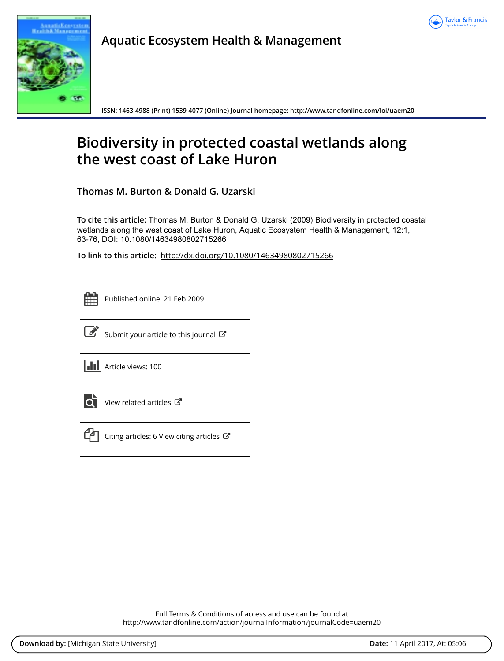



**Aquatic Ecosystem Health & Management**

**ISSN: 1463-4988 (Print) 1539-4077 (Online) Journal homepage:<http://www.tandfonline.com/loi/uaem20>**

# **Biodiversity in protected coastal wetlands along the west coast of Lake Huron**

**Thomas M. Burton & Donald G. Uzarski**

**To cite this article:** Thomas M. Burton & Donald G. Uzarski (2009) Biodiversity in protected coastal wetlands along the west coast of Lake Huron, Aquatic Ecosystem Health & Management, 12:1, 63-76, DOI: [10.1080/14634980802715266](http://www.tandfonline.com/action/showCitFormats?doi=10.1080/14634980802715266)

**To link to this article:** <http://dx.doi.org/10.1080/14634980802715266>

|  | -- |  |
|--|----|--|
|  |    |  |
|  |    |  |
|  |    |  |

Published online: 21 Feb 2009.



 $\overrightarrow{S}$  [Submit your article to this journal](http://www.tandfonline.com/action/authorSubmission?journalCode=uaem20&show=instructions)  $G$ 

**III** Article views: 100



 $\overline{Q}$  [View related articles](http://www.tandfonline.com/doi/mlt/10.1080/14634980802715266)  $\overline{C}$ 



 $\Box$  [Citing articles: 6 View citing articles](http://www.tandfonline.com/doi/citedby/10.1080/14634980802715266#tabModule)  $\Box$ 

Full Terms & Conditions of access and use can be found at <http://www.tandfonline.com/action/journalInformation?journalCode=uaem20>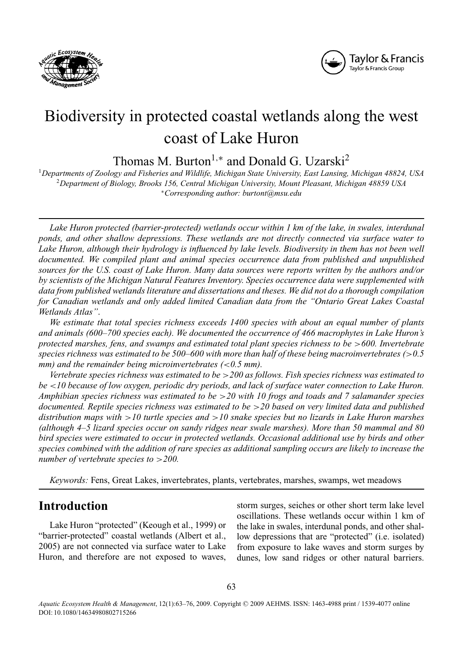



# Biodiversity in protected coastal wetlands along the west coast of Lake Huron

Thomas M. Burton<sup>1,∗</sup> and Donald G. Uzarski<sup>2</sup>

<sup>1</sup>*Departments of Zoology and Fisheries and Wildlife, Michigan State University, East Lansing, Michigan 48824, USA* <sup>2</sup>*Department of Biology, Brooks 156, Central Michigan University, Mount Pleasant, Michigan 48859 USA* <sup>∗</sup>*Corresponding author: burtont@msu.edu*

*Lake Huron protected (barrier-protected) wetlands occur within 1 km of the lake, in swales, interdunal ponds, and other shallow depressions. These wetlands are not directly connected via surface water to Lake Huron, although their hydrology is influenced by lake levels. Biodiversity in them has not been well documented. We compiled plant and animal species occurrence data from published and unpublished sources for the U.S. coast of Lake Huron. Many data sources were reports written by the authors and/or by scientists of the Michigan Natural Features Inventory. Species occurrence data were supplemented with data from published wetlands literature and dissertations and theses. We did not do a thorough compilation for Canadian wetlands and only added limited Canadian data from the "Ontario Great Lakes Coastal Wetlands Atlas"*.

*We estimate that total species richness exceeds 1400 species with about an equal number of plants and animals (600–700 species each). We documented the occurrence of 466 macrophytes in Lake Huron's protected marshes, fens, and swamps and estimated total plant species richness to be* >*600. Invertebrate species richness was estimated to be 500–600 with more than half of these being macroinvertebrates (*>*0.5 mm) and the remainder being microinvertebrates (*<*0.5 mm).*

*Vertebrate species richness was estimated to be* >*200 as follows. Fish species richness was estimated to be* <*10 because of low oxygen, periodic dry periods, and lack of surface water connection to Lake Huron. Amphibian species richness was estimated to be* >*20 with 10 frogs and toads and 7 salamander species documented. Reptile species richness was estimated to be* >*20 based on very limited data and published distribution maps with* >*10 turtle species and* >*10 snake species but no lizards in Lake Huron marshes (although 4–5 lizard species occur on sandy ridges near swale marshes). More than 50 mammal and 80 bird species were estimated to occur in protected wetlands. Occasional additional use by birds and other species combined with the addition of rare species as additional sampling occurs are likely to increase the number of vertebrate species to* >*200.*

*Keywords:* Fens, Great Lakes, invertebrates, plants, vertebrates, marshes, swamps, wet meadows

### **Introduction**

Lake Huron "protected" (Keough et al., 1999) or "barrier-protected" coastal wetlands (Albert et al., 2005) are not connected via surface water to Lake Huron, and therefore are not exposed to waves, storm surges, seiches or other short term lake level oscillations. These wetlands occur within 1 km of the lake in swales, interdunal ponds, and other shallow depressions that are "protected" (i.e. isolated) from exposure to lake waves and storm surges by dunes, low sand ridges or other natural barriers.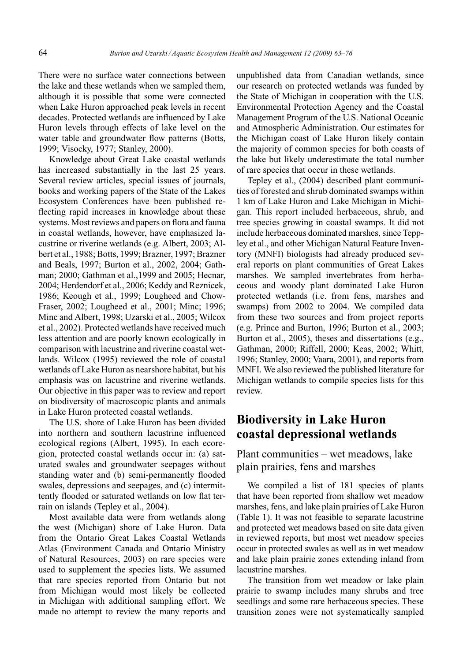There were no surface water connections between the lake and these wetlands when we sampled them, although it is possible that some were connected when Lake Huron approached peak levels in recent decades. Protected wetlands are influenced by Lake Huron levels through effects of lake level on the water table and groundwater flow patterns (Botts, 1999; Visocky, 1977; Stanley, 2000).

Knowledge about Great Lake coastal wetlands has increased substantially in the last 25 years. Several review articles, special issues of journals, books and working papers of the State of the Lakes Ecosystem Conferences have been published reflecting rapid increases in knowledge about these systems. Most reviews and papers on flora and fauna in coastal wetlands, however, have emphasized lacustrine or riverine wetlands (e.g. Albert, 2003; Albert et al., 1988; Botts, 1999; Brazner, 1997; Brazner and Beals, 1997; Burton et al., 2002, 2004; Gathman; 2000; Gathman et al.,1999 and 2005; Hecnar, 2004; Herdendorf et al., 2006; Keddy and Reznicek, 1986; Keough et al., 1999; Lougheed and Chow-Fraser, 2002; Lougheed et al., 2001; Minc; 1996; Minc and Albert, 1998; Uzarski et al., 2005; Wilcox et al., 2002). Protected wetlands have received much less attention and are poorly known ecologically in comparison with lacustrine and riverine coastal wetlands. Wilcox (1995) reviewed the role of coastal wetlands of Lake Huron as nearshore habitat, but his emphasis was on lacustrine and riverine wetlands. Our objective in this paper was to review and report on biodiversity of macroscopic plants and animals in Lake Huron protected coastal wetlands.

The U.S. shore of Lake Huron has been divided into northern and southern lacustrine influenced ecological regions (Albert, 1995). In each ecoregion, protected coastal wetlands occur in: (a) saturated swales and groundwater seepages without standing water and (b) semi-permanently flooded swales, depressions and seepages, and (c) intermittently flooded or saturated wetlands on low flat terrain on islands (Tepley et al., 2004).

Most available data were from wetlands along the west (Michigan) shore of Lake Huron. Data from the Ontario Great Lakes Coastal Wetlands Atlas (Environment Canada and Ontario Ministry of Natural Resources, 2003) on rare species were used to supplement the species lists. We assumed that rare species reported from Ontario but not from Michigan would most likely be collected in Michigan with additional sampling effort. We made no attempt to review the many reports and unpublished data from Canadian wetlands, since our research on protected wetlands was funded by the State of Michigan in cooperation with the U.S. Environmental Protection Agency and the Coastal Management Program of the U.S. National Oceanic and Atmospheric Administration. Our estimates for the Michigan coast of Lake Huron likely contain the majority of common species for both coasts of the lake but likely underestimate the total number of rare species that occur in these wetlands.

Tepley et al., (2004) described plant communities of forested and shrub dominated swamps within 1 km of Lake Huron and Lake Michigan in Michigan. This report included herbaceous, shrub, and tree species growing in coastal swamps. It did not include herbaceous dominated marshes, since Teppley et al., and other Michigan Natural Feature Inventory (MNFI) biologists had already produced several reports on plant communities of Great Lakes marshes. We sampled invertebrates from herbaceous and woody plant dominated Lake Huron protected wetlands (i.e. from fens, marshes and swamps) from 2002 to 2004. We compiled data from these two sources and from project reports (e.g. Prince and Burton, 1996; Burton et al., 2003; Burton et al., 2005), theses and dissertations (e.g., Gathman, 2000; Riffell, 2000; Keas, 2002; Whitt, 1996; Stanley, 2000; Vaara, 2001), and reports from MNFI. We also reviewed the published literature for Michigan wetlands to compile species lists for this review.

## **Biodiversity in Lake Huron coastal depressional wetlands**

Plant communities – wet meadows, lake plain prairies, fens and marshes

We compiled a list of 181 species of plants that have been reported from shallow wet meadow marshes, fens, and lake plain prairies of Lake Huron (Table 1). It was not feasible to separate lacustrine and protected wet meadows based on site data given in reviewed reports, but most wet meadow species occur in protected swales as well as in wet meadow and lake plain prairie zones extending inland from lacustrine marshes.

The transition from wet meadow or lake plain prairie to swamp includes many shrubs and tree seedlings and some rare herbaceous species. These transition zones were not systematically sampled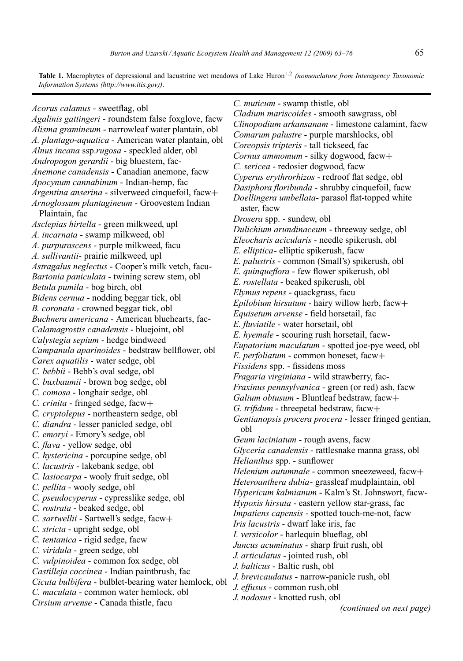| Table 1. Macrophytes of depressional and lacustrine wet meadows of Lake Huron <sup>1,2</sup> (nomenclature from Interagency Taxonomic |  |  |
|---------------------------------------------------------------------------------------------------------------------------------------|--|--|
| Information Systems (http://www.itis.gov)).                                                                                           |  |  |

| Acorus calamus - sweetflag, obl<br>Agalinis gattingeri - roundstem false foxglove, facw<br>Alisma gramineum - narrowleaf water plantain, obl<br>A. plantago-aquatica - American water plantain, obl<br>Alnus incana ssp.rugosa - speckled alder, obl<br>Andropogon gerardii - big bluestem, fac-<br>Anemone canadensis - Canadian anemone, facw | C. muticum - swamp thistle, obl<br>Cladium mariscoides - smooth sawgrass, obl<br>Clinopodium arkansanam - limestone calamint, facw<br>Comarum palustre - purple marshlocks, obl<br>Coreopsis tripteris - tall tickseed, fac<br>Cornus ammomum - silky dogwood, facw+<br>C. sericea - redosier dogwood, facw<br>Cyperus erythrorhizos - redroof flat sedge, obl |
|-------------------------------------------------------------------------------------------------------------------------------------------------------------------------------------------------------------------------------------------------------------------------------------------------------------------------------------------------|----------------------------------------------------------------------------------------------------------------------------------------------------------------------------------------------------------------------------------------------------------------------------------------------------------------------------------------------------------------|
| <i>Apocynum cannabinum</i> - Indian-hemp, fac<br>Argentina anserina - silverweed cinquefoil, facw+<br>Arnoglossum plantagineum - Groovestem Indian<br>Plaintain, fac                                                                                                                                                                            | Dasiphora floribunda - shrubby cinquefoil, facw<br>Doellingera umbellata- parasol flat-topped white<br>aster, facw                                                                                                                                                                                                                                             |
| Asclepias hirtella - green milkweed, upl<br>A. incarnata - swamp milkweed, obl                                                                                                                                                                                                                                                                  | Drosera spp. - sundew, obl<br>Dulichium arundinaceum - threeway sedge, obl<br>Eleocharis acicularis - needle spikerush, obl                                                                                                                                                                                                                                    |
| A. <i>purpurascens</i> - purple milkweed, facu<br>A. sullivantii- prairie milkweed, upl<br>Astragalus neglectus - Cooper's milk vetch, facu-<br>Bartonia paniculata - twining screw stem, obl                                                                                                                                                   | E. elliptica - elliptic spikerush, facw<br>E. palustris - common (Small's) spikerush, obl<br>E. quinqueflora - few flower spikerush, obl                                                                                                                                                                                                                       |
| Betula pumila - bog birch, obl                                                                                                                                                                                                                                                                                                                  | E. rostellata - beaked spikerush, obl                                                                                                                                                                                                                                                                                                                          |
| Bidens cernua - nodding beggar tick, obl                                                                                                                                                                                                                                                                                                        | Elymus repens - quackgrass, facu                                                                                                                                                                                                                                                                                                                               |
| B. coronata - crowned beggar tick, obl                                                                                                                                                                                                                                                                                                          | Epilobium hirsutum - hairy willow herb, facw+                                                                                                                                                                                                                                                                                                                  |
| Buchnera americana - American bluehearts, fac-                                                                                                                                                                                                                                                                                                  | Equisetum arvense - field horsetail, fac                                                                                                                                                                                                                                                                                                                       |
| Calamagrostis canadensis - bluejoint, obl                                                                                                                                                                                                                                                                                                       | E. fluviatile - water horsetail, obl                                                                                                                                                                                                                                                                                                                           |
| Calystegia sepium - hedge bindweed                                                                                                                                                                                                                                                                                                              | E. hyemale - scouring rush horsetail, facw-                                                                                                                                                                                                                                                                                                                    |
| Campanula aparinoides - bedstraw bellflower, obl                                                                                                                                                                                                                                                                                                | Eupatorium maculatum - spotted joe-pye weed, obl                                                                                                                                                                                                                                                                                                               |
| Carex aquatilis - water sedge, obl                                                                                                                                                                                                                                                                                                              | E. perfoliatum - common boneset, facw+                                                                                                                                                                                                                                                                                                                         |
| C. bebbii - Bebb's oval sedge, obl                                                                                                                                                                                                                                                                                                              | Fissidens spp. - fissidens moss                                                                                                                                                                                                                                                                                                                                |
| C. buxbaumii - brown bog sedge, obl<br>C. comosa - longhair sedge, obl<br>C. crinita - fringed sedge, facw+                                                                                                                                                                                                                                     | Fragaria virginiana - wild strawberry, fac-<br>Fraxinus pennsylvanica - green (or red) ash, facw<br>Galium obtusum - Bluntleaf bedstraw, facw+<br>G. trifidum - threepetal bedstraw, facw+                                                                                                                                                                     |
| C. cryptolepus - northeastern sedge, obl                                                                                                                                                                                                                                                                                                        | Gentianopsis procera procera - lesser fringed gentian,                                                                                                                                                                                                                                                                                                         |
| C. diandra - lesser panicled sedge, obl                                                                                                                                                                                                                                                                                                         | obl                                                                                                                                                                                                                                                                                                                                                            |
| C. emoryi - Emory's sedge, obl                                                                                                                                                                                                                                                                                                                  | Geum laciniatum - rough avens, facw                                                                                                                                                                                                                                                                                                                            |
| C. flava - yellow sedge, obl                                                                                                                                                                                                                                                                                                                    | Glyceria canadensis - rattlesnake manna grass, obl                                                                                                                                                                                                                                                                                                             |
| C. hystericina - porcupine sedge, obl                                                                                                                                                                                                                                                                                                           | Helianthus spp. - sunflower                                                                                                                                                                                                                                                                                                                                    |
| C. lacustris - lakebank sedge, obl                                                                                                                                                                                                                                                                                                              | Helenium autumnale - common sneezeweed, facw+                                                                                                                                                                                                                                                                                                                  |
| C. lasiocarpa - wooly fruit sedge, obl                                                                                                                                                                                                                                                                                                          | Heteroanthera dubia-grassleaf mudplaintain, obl                                                                                                                                                                                                                                                                                                                |
| C. pellita - wooly sedge, obl                                                                                                                                                                                                                                                                                                                   | Hypericum kalmianum - Kalm's St. Johnswort, facw-                                                                                                                                                                                                                                                                                                              |
| C. pseudocyperus - cypresslike sedge, obl                                                                                                                                                                                                                                                                                                       | Hypoxis hirsuta - eastern yellow star-grass, fac                                                                                                                                                                                                                                                                                                               |
| C. rostrata - beaked sedge, obl                                                                                                                                                                                                                                                                                                                 | Impatiens capensis - spotted touch-me-not, facw                                                                                                                                                                                                                                                                                                                |
| C. sartwellii - Sartwell's sedge, facw+                                                                                                                                                                                                                                                                                                         | Iris lacustris - dwarf lake iris, fac                                                                                                                                                                                                                                                                                                                          |
| C. stricta - upright sedge, obl                                                                                                                                                                                                                                                                                                                 | I. versicolor - harlequin blueflag, obl                                                                                                                                                                                                                                                                                                                        |
| C. tentanica - rigid sedge, facw                                                                                                                                                                                                                                                                                                                | Juncus acuminatus - sharp fruit rush, obl                                                                                                                                                                                                                                                                                                                      |
| C. viridula - green sedge, obl                                                                                                                                                                                                                                                                                                                  | J. articulatus - jointed rush, obl                                                                                                                                                                                                                                                                                                                             |
| C. vulpinoidea - common fox sedge, obl                                                                                                                                                                                                                                                                                                          | J. balticus - Baltic rush, obl                                                                                                                                                                                                                                                                                                                                 |
| Castilleja coccinea - Indian paintbrush, fac                                                                                                                                                                                                                                                                                                    | J. brevicaudatus - narrow-panicle rush, obl                                                                                                                                                                                                                                                                                                                    |
| Cicuta bulbifera - bulblet-bearing water hemlock, obl                                                                                                                                                                                                                                                                                           | J. effusus - common rush, obl                                                                                                                                                                                                                                                                                                                                  |
| C. maculata - common water hemlock, obl                                                                                                                                                                                                                                                                                                         | J. nodosus - knotted rush, obl                                                                                                                                                                                                                                                                                                                                 |
| Cirsium arvense - Canada thistle, facu                                                                                                                                                                                                                                                                                                          | (continued on next page)                                                                                                                                                                                                                                                                                                                                       |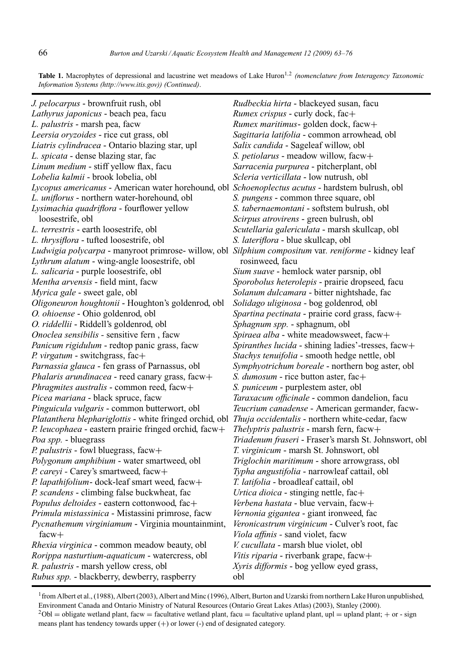Table 1. Macrophytes of depressional and lacustrine wet meadows of Lake Huron<sup>1,2</sup> (nomenclature from Interagency Taxonomic *Information Systems (http://www.itis.gov)) (Continued)*.

| J. pelocarpus - brownfruit rush, obl                                                                    | Rudbeckia hirta - blackeyed susan, facu                                            |
|---------------------------------------------------------------------------------------------------------|------------------------------------------------------------------------------------|
| Lathyrus japonicus - beach pea, facu                                                                    | Rumex crispus - curly dock, fac+                                                   |
| L. palustris - marsh pea, facw                                                                          | Rumex maritimus-golden dock, facw+                                                 |
| Leersia oryzoides - rice cut grass, obl                                                                 | Sagittaria latifolia - common arrowhead, obl                                       |
| Liatris cylindracea - Ontario blazing star, upl                                                         | Salix candida - Sageleaf willow, obl                                               |
| L. spicata - dense blazing star, fac                                                                    | S. petiolarus - meadow willow, facw+                                               |
| Linum medium - stiff yellow flax, facu                                                                  | Sarracenia purpurea - pitcherplant, obl                                            |
| Lobelia kalmii - brook lobelia, obl                                                                     | Scleria verticillata - low nutrush, obl                                            |
| Lycopus americanus - American water horehound, obl Schoenoplectus acutus - hardstem bulrush, obl        |                                                                                    |
| L. uniflorus - northern water-horehound, obl                                                            | S. pungens - common three square, obl                                              |
| Lysimachia quadriflora - fourflower yellow                                                              | S. tabernaemontani - softstem bulrush, obl                                         |
| loosestrife, obl                                                                                        | Scirpus atrovirens - green bulrush, obl                                            |
| L. terrestris - earth loosestrife, obl                                                                  | Scutellaria galericulata - marsh skullcap, obl                                     |
| L. thrysiflora - tufted loosestrife, obl                                                                | S. lateriflora - blue skullcap, obl                                                |
| Ludwigia polycarpa - manyroot primrose- willow, obl Silphium compositum var. reniforme - kidney leaf    |                                                                                    |
| Lythrum alatum - wing-angle loosestrife, obl                                                            | rosinweed, facu                                                                    |
| L. salicaria - purple loosestrife, obl                                                                  | Sium suave - hemlock water parsnip, obl                                            |
| Mentha arvensis - field mint, facw                                                                      | Sporobolus heterolepis - prairie dropseed, facu                                    |
| Myrica gale - sweet gale, obl                                                                           | Solanum dulcamara - bitter nightshade, fac                                         |
| Oligoneuron houghtonii - Houghton's goldenrod, obl                                                      | Solidago uliginosa - bog goldenrod, obl                                            |
| O. ohioense - Ohio goldenrod, obl                                                                       | Spartina pectinata - prairie cord grass, facw+                                     |
| O. riddellii - Riddell's goldenrod, obl                                                                 | Sphagnum spp. - sphagnum, obl                                                      |
| Onoclea sensibilis - sensitive fern, facw                                                               | Spiraea alba - white meadowsweet, facw+                                            |
| Panicum rigidulum - redtop panic grass, facw                                                            | Spiranthes lucida - shining ladies'-tresses, facw+                                 |
| $P. virgatum$ - switchgrass, fac+                                                                       | Stachys tenuifolia - smooth hedge nettle, obl                                      |
| Parnassia glauca - fen grass of Parnassus, obl                                                          | Symphyotrichum boreale - northern bog aster, obl                                   |
| Phalaris arundinacea - reed canary grass, facw+                                                         | S. dumosum - rice button aster, fac+                                               |
| Phragmites australis - common reed, facw+                                                               | S. puniceum - purplestem aster, obl                                                |
| Picea mariana - black spruce, facw                                                                      | Taraxacum officinale - common dandelion, facu                                      |
| Pinguicula vulgaris - common butterwort, obl                                                            | Teucrium canadense - American germander, facw-                                     |
| Platanthera blephariglottis - white fringed orchid, obl Thuja occidentalis - northern white-cedar, facw |                                                                                    |
| P. leucophaea - eastern prairie fringed orchid, facw+                                                   | Thelyptris palustris - marsh fern, facw+                                           |
| Poa spp. - bluegrass                                                                                    | Triadenum fraseri - Fraser's marsh St. Johnswort, obl                              |
| P. palustris - fowl bluegrass, facw+                                                                    | T. virginicum - marsh St. Johnswort, obl                                           |
| Polygonum amphibium - water smartweed, obl                                                              | Triglochin maritimum - shore arrowgrass, obl                                       |
| P. careyi - Carey's smartweed, facw+                                                                    | Typha angustifolia - narrowleaf cattail, obl                                       |
| P. lapathifolium- dock-leaf smart weed, facw+                                                           | T. latifolia - broadleaf cattail, obl                                              |
| P. scandens - climbing false buckwheat, fac                                                             | Urtica dioica - stinging nettle, fac+<br>Verbena hastata - blue vervain, facw+     |
| <i>Populus deltoides</i> - eastern cottonwood, fac $+$                                                  |                                                                                    |
| Primula mistassinica - Mistassini primrose, facw                                                        | Vernonia gigantea - giant ironweed, fac                                            |
| Pycnathemum virginiamum - Virginia mountainmint,<br>$facw+$                                             | Veronicastrum virginicum - Culver's root, fac<br>Viola affinis - sand violet, facw |
| Rhexia virginica - common meadow beauty, obl                                                            | V. cucullata - marsh blue violet, obl                                              |
| Rorippa nasturtium-aquaticum - watercress, obl                                                          | Vitis riparia - riverbank grape, facw+                                             |
| R. palustris - marsh yellow cress, obl                                                                  | Xyris difformis - bog yellow eyed grass,                                           |
| Rubus spp. - blackberry, dewberry, raspberry                                                            | obl                                                                                |

1from Albert et al., (1988), Albert (2003), Albert and Minc (1996), Albert, Burton and Uzarski from northern Lake Huron unpublished, Environment Canada and Ontario Ministry of Natural Resources (Ontario Great Lakes Atlas) (2003), Stanley (2000).  $^{2}$ Obl = obligate wetland plant, facw = facultative wetland plant, facu = facultative upland plant, upl = upland plant; + or - sign means plant has tendency towards upper (+) or lower (-) end of designated category.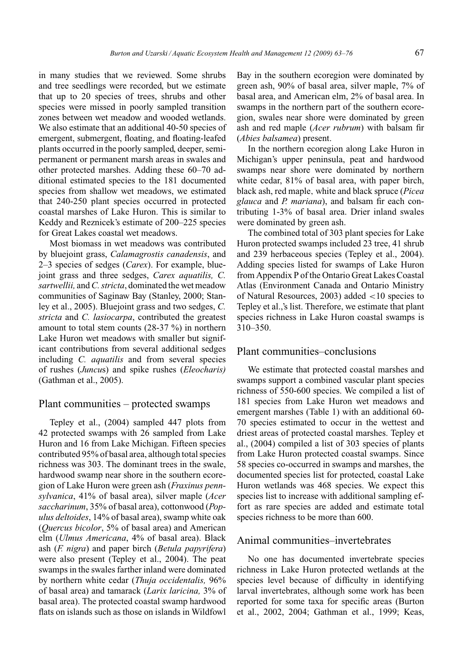in many studies that we reviewed. Some shrubs and tree seedlings were recorded, but we estimate that up to 20 species of trees, shrubs and other species were missed in poorly sampled transition zones between wet meadow and wooded wetlands. We also estimate that an additional 40-50 species of emergent, submergent, floating, and floating-leafed plants occurred in the poorly sampled, deeper, semipermanent or permanent marsh areas in swales and other protected marshes. Adding these 60–70 additional estimated species to the 181 documented species from shallow wet meadows, we estimated that 240-250 plant species occurred in protected coastal marshes of Lake Huron. This is similar to

Keddy and Reznicek's estimate of 200–225 species for Great Lakes coastal wet meadows. Most biomass in wet meadows was contributed by bluejoint grass, *Calamagrostis canadensis*, and 2–3 species of sedges (*Carex*). For example, bluejoint grass and three sedges, *Carex aquatilis, C. sartwellii,* and*C. stricta*, dominated the wet meadow communities of Saginaw Bay (Stanley, 2000; Stanley et al., 2005). Bluejoint grass and two sedges, *C. stricta* and *C. lasiocarpa*, contributed the greatest amount to total stem counts (28-37 %) in northern Lake Huron wet meadows with smaller but significant contributions from several additional sedges including *C. aquatilis* and from several species of rushes (*Juncu*s) and spike rushes (*Eleocharis)* (Gathman et al., 2005).

#### Plant communities – protected swamps

Tepley et al., (2004) sampled 447 plots from 42 protected swamps with 26 sampled from Lake Huron and 16 from Lake Michigan. Fifteen species contributed 95% of basal area, although total species richness was 303. The dominant trees in the swale, hardwood swamp near shore in the southern ecoregion of Lake Huron were green ash (*Fraxinus pennsylvanica*, 41% of basal area), silver maple (*Acer saccharinum*, 35% of basal area), cottonwood (*Populus deltoides*, 14% of basal area), swamp white oak (*Quercus bicolor*, 5% of basal area) and American elm (*Ulmus Americana*, 4% of basal area). Black ash (*F. nigra*) and paper birch (*Betula papyrifera*) were also present (Tepley et al., 2004). The peat swamps in the swales farther inland were dominated by northern white cedar (*Thuja occidentalis,* 96% of basal area) and tamarack (*Larix laricina,* 3% of basal area). The protected coastal swamp hardwood flats on islands such as those on islands in Wildfowl

Bay in the southern ecoregion were dominated by green ash, 90% of basal area, silver maple, 7% of basal area, and American elm, 2% of basal area. In swamps in the northern part of the southern ecoregion, swales near shore were dominated by green ash and red maple (*Acer rubrum*) with balsam fir (*Abies balsamea*) present.

In the northern ecoregion along Lake Huron in Michigan's upper peninsula, peat and hardwood swamps near shore were dominated by northern white cedar, 81% of basal area, with paper birch, black ash, red maple, white and black spruce (*Picea glauca* and *P. mariana*), and balsam fir each contributing 1-3% of basal area. Drier inland swales were dominated by green ash.

The combined total of 303 plant species for Lake Huron protected swamps included 23 tree, 41 shrub and 239 herbaceous species (Tepley et al., 2004). Adding species listed for swamps of Lake Huron from Appendix P of the Ontario Great Lakes Coastal Atlas (Environment Canada and Ontario Ministry of Natural Resources, 2003) added <10 species to Tepley et al.,'s list. Therefore, we estimate that plant species richness in Lake Huron coastal swamps is 310–350.

#### Plant communities–conclusions

We estimate that protected coastal marshes and swamps support a combined vascular plant species richness of 550-600 species. We compiled a list of 181 species from Lake Huron wet meadows and emergent marshes (Table 1) with an additional 60- 70 species estimated to occur in the wettest and driest areas of protected coastal marshes. Tepley et al., (2004) compiled a list of 303 species of plants from Lake Huron protected coastal swamps. Since 58 species co-occurred in swamps and marshes, the documented species list for protected, coastal Lake Huron wetlands was 468 species. We expect this species list to increase with additional sampling effort as rare species are added and estimate total species richness to be more than 600.

#### Animal communities–invertebrates

No one has documented invertebrate species richness in Lake Huron protected wetlands at the species level because of difficulty in identifying larval invertebrates, although some work has been reported for some taxa for specific areas (Burton et al., 2002, 2004; Gathman et al., 1999; Keas,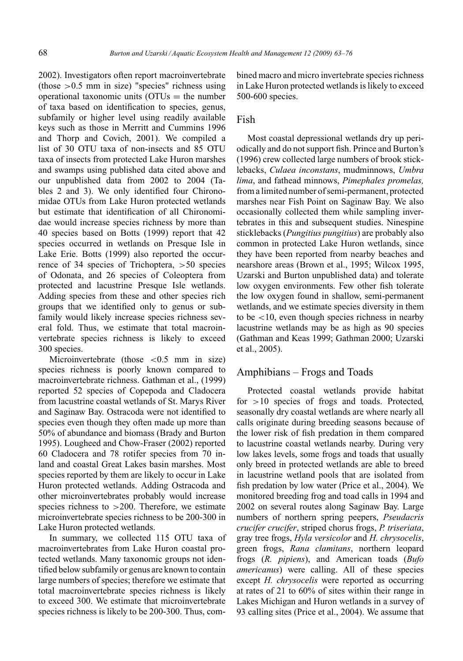2002). Investigators often report macroinvertebrate (those  $>0.5$  mm in size) "species" richness using operational taxonomic units  $(OTUs = the number$ of taxa based on identification to species, genus, subfamily or higher level using readily available keys such as those in Merritt and Cummins 1996 and Thorp and Covich, 2001). We compiled a list of 30 OTU taxa of non-insects and 85 OTU taxa of insects from protected Lake Huron marshes and swamps using published data cited above and our unpublished data from 2002 to 2004 (Tables 2 and 3). We only identified four Chironomidae OTUs from Lake Huron protected wetlands but estimate that identification of all Chironomidae would increase species richness by more than 40 species based on Botts (1999) report that 42 species occurred in wetlands on Presque Isle in Lake Erie. Botts (1999) also reported the occurrence of 34 species of Trichoptera, >50 species of Odonata, and 26 species of Coleoptera from protected and lacustrine Presque Isle wetlands. Adding species from these and other species rich groups that we identified only to genus or subfamily would likely increase species richness several fold. Thus, we estimate that total macroinvertebrate species richness is likely to exceed 300 species.

Microinvertebrate (those  $\lt 0.5$  mm in size) species richness is poorly known compared to macroinvertebrate richness. Gathman et al., (1999) reported 52 species of Copepoda and Cladocera from lacustrine coastal wetlands of St. Marys River and Saginaw Bay. Ostracoda were not identified to species even though they often made up more than 50% of abundance and biomass (Brady and Burton 1995). Lougheed and Chow-Fraser (2002) reported 60 Cladocera and 78 rotifer species from 70 inland and coastal Great Lakes basin marshes. Most species reported by them are likely to occur in Lake Huron protected wetlands. Adding Ostracoda and other microinvertebrates probably would increase species richness to  $>200$ . Therefore, we estimate microinvertebrate species richness to be 200-300 in Lake Huron protected wetlands.

In summary, we collected 115 OTU taxa of macroinvertebrates from Lake Huron coastal protected wetlands. Many taxonomic groups not identified below subfamily or genus are known to contain large numbers of species; therefore we estimate that total macroinvertebrate species richness is likely to exceed 300. We estimate that microinvertebrate species richness is likely to be 200-300. Thus, combined macro and micro invertebrate species richness in Lake Huron protected wetlands is likely to exceed 500-600 species.

#### Fish

Most coastal depressional wetlands dry up periodically and do not support fish. Prince and Burton's (1996) crew collected large numbers of brook sticklebacks, *Culaea inconstans*, mudminnows, *Umbra lima*, and fathead minnows, *Pimephales promelas,* from a limited number of semi-permanent, protected marshes near Fish Point on Saginaw Bay. We also occasionally collected them while sampling invertebrates in this and subsequent studies. Ninespine sticklebacks (*Pungitius pungitius*) are probably also common in protected Lake Huron wetlands, since they have been reported from nearby beaches and nearshore areas (Brown et al., 1995; Wilcox 1995, Uzarski and Burton unpublished data) and tolerate low oxygen environments. Few other fish tolerate the low oxygen found in shallow, semi-permanent wetlands, and we estimate species diversity in them to be <10, even though species richness in nearby lacustrine wetlands may be as high as 90 species (Gathman and Keas 1999; Gathman 2000; Uzarski et al., 2005).

#### Amphibians – Frogs and Toads

Protected coastal wetlands provide habitat for  $>10$  species of frogs and toads. Protected, seasonally dry coastal wetlands are where nearly all calls originate during breeding seasons because of the lower risk of fish predation in them compared to lacustrine coastal wetlands nearby. During very low lakes levels, some frogs and toads that usually only breed in protected wetlands are able to breed in lacustrine wetland pools that are isolated from fish predation by low water (Price et al., 2004). We monitored breeding frog and toad calls in 1994 and 2002 on several routes along Saginaw Bay. Large numbers of northern spring peepers, *Pseudacris crucifer crucifer*, striped chorus frogs, *P. triseriata*, gray tree frogs, *Hyla versicolor* and *H. chrysocelis*, green frogs, *Rana clamitans*, northern leopard frogs (*R. pipiens*), and American toads (*Bufo americanus*) were calling. All of these species except *H. chrysocelis* were reported as occurring at rates of 21 to 60% of sites within their range in Lakes Michigan and Huron wetlands in a survey of 93 calling sites (Price et al., 2004). We assume that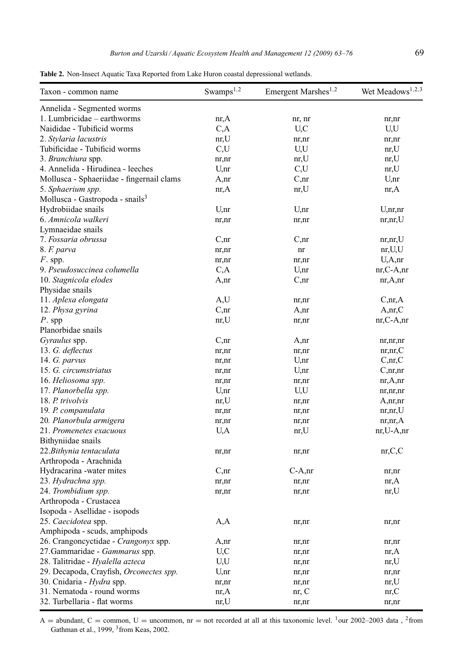| Taxon - common name                         | Swamps $^{1,2}$ | Emergent Marshes <sup>1,2</sup> | Wet Meadows <sup>1,2,3</sup> |
|---------------------------------------------|-----------------|---------------------------------|------------------------------|
| Annelida - Segmented worms                  |                 |                                 |                              |
| 1. Lumbricidae - earthworms                 | nr, A           | nr, nr                          | nr,nr                        |
| Naididae - Tubificid worms                  | C, A            | U,C                             | U,U                          |
| 2. Stylaria lacustris                       | nr,U            | nr,nr                           | nr,nr                        |
| Tubificidae - Tubificid worms               | C,U             | U,U                             | nr,U                         |
| 3. Branchiura spp.                          | nr,nr           | nr,U                            | nr,U                         |
| 4. Annelida - Hirudinea - leeches           | U, nr           | C,U                             | nr,U                         |
| Mollusca - Sphaeriidae - fingernail clams   | A,nr            | C, nr                           | U,nr                         |
| 5. Sphaerium spp.                           | nr, A           | nr,U                            | nr, A                        |
| Mollusca - Gastropoda - snails <sup>3</sup> |                 |                                 |                              |
| Hydrobiidae snails                          | U,nr            | U,nr                            | U, nr, nr                    |
| 6. Amnicola walkeri                         | nr,nr           | nr,nr                           | nr, nr, U                    |
| Lymnaeidae snails                           |                 |                                 |                              |
| 7. Fossaria obrussa                         | C, nr           | C, nr                           | nr, nr, U                    |
| 8. F. parva                                 | nr,nr           | nr                              | nr,U,U                       |
| $F.$ spp.                                   | nr,nr           | nr,nr                           | U, A, nr                     |
| 9. Pseudosuccinea columella                 | C, A            | U, nr                           | $nr, C-A, nr$                |
| 10. Stagnicola elodes                       | A,nr            | C, nr                           | nr, A, nr                    |
| Physidae snails                             |                 |                                 |                              |
| 11. Aplexa elongata                         | A,U             | nr,nr                           | C, nr, A                     |
| 12. Physa gyrina                            | C, nr           | A,nr                            | A, nr, C                     |
| $P$ . spp                                   | nr,U            | nr,nr                           | $nr, C-A, nr$                |
| Planorbidae snails                          |                 |                                 |                              |
| Gyraulus spp.                               | C, nr           | A,nr                            | nr, nr, nr                   |
| 13. G. deflectus                            | nr,nr           | nr,nr                           | nr, nr, C                    |
| 14. G. parvus                               | nr,nr           | U, nr                           | C, nr, C                     |
| 15. G. circumstriatus                       | nr,nr           | U,nr                            | C, nr, nr                    |
| 16. Heliosoma spp.                          | nr,nr           | nr,nr                           | nr, A, nr                    |
| 17. Planorbella spp.                        | U,nr            | U,U                             | nr, nr, nr                   |
| 18. P. trivolvis                            | nr,U            | nr,nr                           | A, nr, nr                    |
| 19. P. companulata                          | nr,nr           | nr,nr                           | nr, nr, U                    |
| 20. Planorbula armigera                     | nr,nr           | nr,nr                           | nr, nr, A                    |
| 21. Promenetes exacuous                     | U,A             | nr, U                           | $nr, U-A, nr$                |
| Bithyniidae snails                          |                 |                                 |                              |
| 22. Bithynia tentaculata                    | nr,nr           | nr,nr                           | nr, C, C                     |
| Arthropoda - Arachnida                      |                 |                                 |                              |
| Hydracarina -water mites                    | C, nr           | $C-A, nr$                       | nr,nr                        |
| 23. Hydrachna spp.                          | nr,nr           | nr,nr                           | n r, A                       |
| 24. Trombidium spp.                         | nr,nr           | nr,nr                           | nr,U                         |
| Arthropoda - Crustacea                      |                 |                                 |                              |
| Isopoda - Asellidae - isopods               |                 |                                 |                              |
| 25. Caecidotea spp.                         | A, A            | nr,nr                           | nr,nr                        |
| Amphipoda - scuds, amphipods                |                 |                                 |                              |
| 26. Crangoncyctidae - Crangonyx spp.        | A,nr            | nr,nr                           | nr,nr                        |
| 27. Gammaridae - Gammarus spp.              | U,C             | nr,nr                           | nr, A                        |
| 28. Talitridae - Hyalella azteca            | U,U             | nr,nr                           | nr,U                         |
| 29. Decapoda, Crayfish, Orconectes spp.     | U,nr            | nr,nr                           | nr,nr                        |
| 30. Cnidaria - Hydra spp.                   | nr,nr           | nr,nr                           | nr,U                         |
| 31. Nematoda - round worms                  | nr, A           | nr, C                           | nr, C                        |
| 32. Turbellaria - flat worms                | nr,U            | nr,nr                           | nr,nr                        |

A = abundant, C = common, U = uncommon, nr = not recorded at all at this taxonomic level. <sup>1</sup>our 2002–2003 data, <sup>2</sup>from Gathman et al., 1999, <sup>3</sup>from Keas, 2002.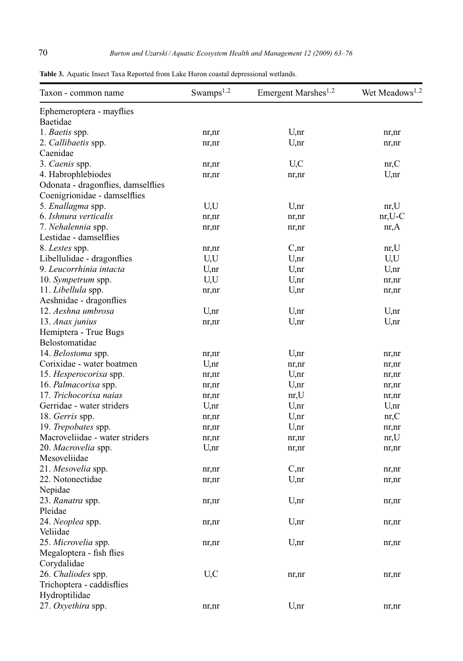|  |  |  | <b>Table 3.</b> Aquatic Insect Taxa Reported from Lake Huron coastal depressional wetlands. |
|--|--|--|---------------------------------------------------------------------------------------------|
|--|--|--|---------------------------------------------------------------------------------------------|

| Taxon - common name                | Swamps <sup>1,2</sup> | Emergent Marshes <sup>1,2</sup> | Wet Meadows <sup>1,2</sup> |
|------------------------------------|-----------------------|---------------------------------|----------------------------|
| Ephemeroptera - mayflies           |                       |                                 |                            |
| Baetidae                           |                       |                                 |                            |
| 1. Baetis spp.                     | nr,nr                 | U, nr                           | nr,nr                      |
| 2. Callibaetis spp.                | nr,nr                 | U,nr                            | nr,nr                      |
| Caenidae                           |                       |                                 |                            |
| 3. Caenis spp.                     | nr,nr                 | U,C                             | nr, C                      |
| 4. Habrophlebiodes                 | nr,nr                 | nr,nr                           | U, nr                      |
| Odonata - dragonflies, damselflies |                       |                                 |                            |
| Coenigrionidae - damselflies       |                       |                                 |                            |
| 5. Enallagma spp.                  | U,U                   | U, nr                           | nr, U                      |
| 6. Ishnura verticalis              | nr,nr                 | nr,nr                           | $nr, U-C$                  |
| 7. Nehalennia spp.                 | nr,nr                 | nr,nr                           | nr, A                      |
| Lestidae - damselflies             |                       |                                 |                            |
| 8. Lestes spp.                     | nr,nr                 | C, nr                           | nr, U                      |
| Libellulidae - dragonflies         | U,U                   | U,nr                            | U,U                        |
| 9. Leucorrhinia intacta            | U, nr                 | U,nr                            | U, nr                      |
| 10. Sympetrum spp.                 | U,U                   | U,nr                            | nr,nr                      |
| 11. Libellula spp.                 | nr,nr                 | U,nr                            | nr,nr                      |
| Aeshnidae - dragonflies            |                       |                                 |                            |
| 12. Aeshna umbrosa                 | U,nr                  | U,nr                            | U, nr                      |
| 13. Anax junius                    | nr,nr                 | U, nr                           | U, nr                      |
| Hemiptera - True Bugs              |                       |                                 |                            |
| Belostomatidae                     |                       |                                 |                            |
| 14. Belostoma spp.                 | nr,nr                 | U,nr                            | nr,nr                      |
| Corixidae - water boatmen          | U, nr                 | nr,nr                           | nr,nr                      |
| 15. Hesperocorixa spp.             | nr,nr                 | U,nr                            | nr,nr                      |
| 16. Palmacorixa spp.               | nr,nr                 | U, nr                           | nr,nr                      |
| 17. Trichocorixa naias             | nr,nr                 | nr,U                            | nr,nr                      |
| Gerridae - water striders          | U,nr                  | U,nr                            | U, nr                      |
| 18. Gerris spp.                    | nr,nr                 | U,nr                            | nr, C                      |
| 19. Trepobates spp.                | nr,nr                 | U, nr                           | nr,nr                      |
| Macroveliidae - water striders     | nr,nr                 | nr,nr                           | nr, U                      |
| 20. Macrovelia spp.                | U, nr                 | nr,nr                           | nr,nr                      |
| Mesoveliidae                       |                       |                                 |                            |
| 21. Mesovelia spp.                 | nr,nr                 | C, nr                           | nr,nr                      |
| 22. Notonectidae                   | nr,nr                 | U,nr                            | nr,nr                      |
| Nepidae                            |                       |                                 |                            |
| 23. Ranatra spp.                   | nr,nr                 | U,nr                            | nr,nr                      |
| Pleidae                            |                       |                                 |                            |
| 24. Neoplea spp.                   | nr,nr                 | U,nr                            | nr,nr                      |
| Veliidae                           |                       |                                 |                            |
| 25. Microvelia spp.                | nr,nr                 | U,nr                            | nr,nr                      |
| Megaloptera - fish flies           |                       |                                 |                            |
| Corydalidae                        |                       |                                 |                            |
| 26. Chaliodes spp.                 | U,C                   |                                 |                            |
| Trichoptera - caddisflies          |                       | nr,nr                           | nr,nr                      |
| Hydroptilidae                      |                       |                                 |                            |
|                                    |                       |                                 |                            |
| 27. Oxyethira spp.                 | nr,nr                 | U,nr                            | nr,nr                      |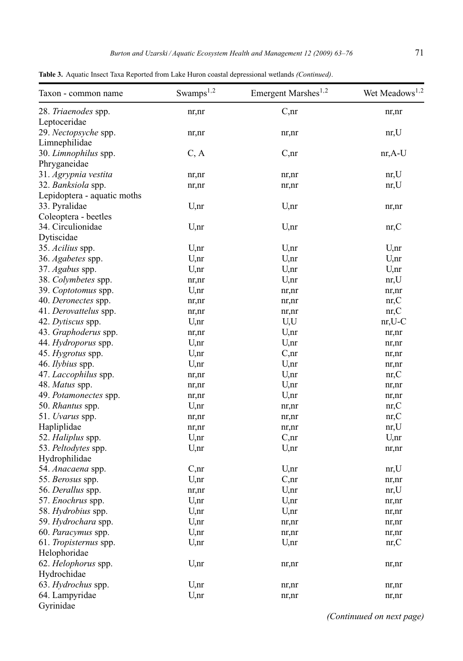| Taxon - common name         | Swamps <sup>1,2</sup> | Emergent Marshes <sup>1,2</sup> | Wet Meadows <sup>1,2</sup> |
|-----------------------------|-----------------------|---------------------------------|----------------------------|
| 28. Triaenodes spp.         | nr,nr                 | C, nr                           | nr,nr                      |
| Leptoceridae                |                       |                                 |                            |
| 29. Nectopsyche spp.        | nr,nr                 | nr,nr                           | nr, U                      |
| Limnephilidae               |                       |                                 |                            |
| 30. Limnophilus spp.        | C, A                  | C, nr                           | $nr, A-U$                  |
| Phryganeidae                |                       |                                 |                            |
| 31. Agrypnia vestita        | nr,nr                 | nr,nr                           | nr, U                      |
| 32. Banksiola spp.          | nr,nr                 | nr,nr                           | nr,U                       |
| Lepidoptera - aquatic moths |                       |                                 |                            |
| 33. Pyralidae               | U,nr                  | U,nr                            | nr,nr                      |
| Coleoptera - beetles        |                       |                                 |                            |
| 34. Circulionidae           | U, nr                 | U,nr                            | nr, C                      |
| Dytiscidae                  |                       |                                 |                            |
| 35. Acilius spp.            | U, nr                 | U,nr                            | U,nr                       |
| 36. Agabetes spp.           | U, nr                 | U, nr                           | U, nr                      |
| 37. Agabus spp.             | U,nr                  | U,nr                            | U,nr                       |
| 38. Colymbetes spp.         | nr,nr                 | U,nr                            | nr, U                      |
| 39. Coptotomus spp.         | U,nr                  | nr,nr                           | nr,nr                      |
| 40. Deronectes spp.         | nr,nr                 | nr,nr                           | nr, C                      |
| 41. Derovattelus spp.       | nr,nr                 | nr,nr                           | nr, C                      |
| 42. Dytiscus spp.           | U, nr                 | U,U                             | $nr, U-C$                  |
|                             |                       |                                 |                            |
| 43. Graphoderus spp.        | nr,nr                 | U,nr                            | nr,nr                      |
| 44. Hydroporus spp.         | U, nr                 | U,nr                            | nr,nr                      |
| 45. Hygrotus spp.           | U, nr                 | C, nr                           | nr,nr                      |
| 46. Ilybius spp.            | U,nr                  | U,nr                            | nr,nr                      |
| 47. Laccophilus spp.        | nr,nr                 | U,nr                            | nr, C                      |
| 48. Matus spp.              | nr,nr                 | U,nr                            | nr,nr                      |
| 49. Potamonectes spp.       | nr,nr                 | U,nr                            | nr,nr                      |
| 50. Rhantus spp.            | U, nr                 | nr,nr                           | nr, C                      |
| 51. Uvarus spp.             | nr,nr                 | nr,nr                           | nr, C                      |
| Hapliplidae                 | nr,nr                 | nr,nr                           | nr, U                      |
| 52. Haliplus spp.           | U, nr                 | C, nr                           | U, nr                      |
| 53. Peltodytes spp.         | U,nr                  | U,nr                            | nr,nr                      |
| Hydrophilidae               |                       |                                 |                            |
| 54. Anacaena spp.           | C, nr                 | U,nr                            | nr, U                      |
| 55. Berosus spp.            | U,nr                  | C, nr                           | nr,nr                      |
| 56. Derallus spp.           | nr,nr                 | U,nr                            | nr,U                       |
| 57. Enochrus spp.           | U,nr                  | U,nr                            | nr,nr                      |
| 58. Hydrobius spp.          | U,nr                  | U,nr                            | nr,nr                      |
| 59. Hydrochara spp.         | U,nr                  | nr,nr                           | nr,nr                      |
| 60. Paracymus spp.          | U,nr                  | nr,nr                           | nr, nr                     |
| 61. Tropisternus spp.       | U,nr                  | U,nr                            | nr, C                      |
| Helophoridae                |                       |                                 |                            |
| 62. Helophorus spp.         | U, nr                 | nr,nr                           | nr,nr                      |
| Hydrochidae                 |                       |                                 |                            |
| 63. Hydrochus spp.          | U, nr                 | nr,nr                           | nr,nr                      |
| 64. Lampyridae              | U, nr                 | nr,nr                           | nr,nr                      |
| Gyrinidae                   |                       |                                 |                            |

**Table 3.** Aquatic Insect Taxa Reported from Lake Huron coastal depressional wetlands *(Continued)*.

*(Continuued on next page)*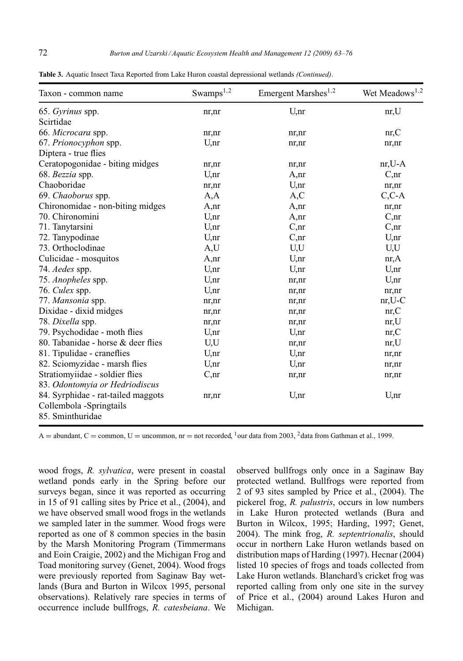| Taxon - common name                | Swamps $^{1,2}$  | Emergent Marshes <sup>1,2</sup> | Wet Meadows <sup>1,2</sup> |
|------------------------------------|------------------|---------------------------------|----------------------------|
| 65. Gyrinus spp.                   | nr,nr            | U, nr                           | nr, U                      |
| Scirtidae                          |                  |                                 |                            |
| 66. Microcara spp.                 | nr,nr            | nr,nr                           | nr, C                      |
| 67. Prionocyphon spp.              | U, nr            | nr,nr                           | nr,nr                      |
| Diptera - true flies               |                  |                                 |                            |
| Ceratopogonidae - biting midges    | nr,nr            | nr,nr                           | $nr, U-A$                  |
| 68. Bezzia spp.                    | U, nr            | A,nr                            | C, nr                      |
| Chaoboridae                        | nr,nr            | U, nr                           | nr,nr                      |
| 69. Chaoborus spp.                 | A, A             | A, C                            | $C, C-A$                   |
| Chironomidae - non-biting midges   | A,nr             | A,nr                            | nr,nr                      |
| 70. Chironomini                    | U, nr            | A,nr                            | C, nr                      |
| 71. Tanytarsini                    | U, nr            | C, nr                           | C, nr                      |
| 72. Tanypodinae                    | U, nr            | C, nr                           | U, nr                      |
| 73. Orthoclodinae                  | A,U              | U,U                             | U,U                        |
| Culicidae - mosquitos              | A,nr             | U, nr                           | nr, A                      |
| 74. Aedes spp.                     | U, nr            | U, nr                           | U, nr                      |
| 75. Anopheles spp.                 | U, nr            | nr,nr                           | U, nr                      |
| 76. Culex spp.                     | U, nr            | nr,nr                           | nr,nr                      |
| 77. Mansonia spp.                  | nr,nr            | nr,nr                           | $nr, U-C$                  |
| Dixidae - dixid midges             | nr,nr            | nr,nr                           | nr, C                      |
| 78. Dixella spp.                   | nr,nr            | nr,nr                           | nr, U                      |
| 79. Psychodidae - moth flies       | U, nr            | U, nr                           | nr, C                      |
| 80. Tabanidae - horse & deer flies | U,U              | nr,nr                           | nr, U                      |
| 81. Tipulidae - craneflies         | U, nr            | U, nr                           | nr,nr                      |
| 82. Sciomyzidae - marsh flies      | U <sub>n</sub> r | U, nr                           | nr,nr                      |
| Stratiomyiidae - soldier flies     | C, nr            | nr,nr                           | nr,nr                      |
| 83. Odontomyia or Hedriodiscus     |                  |                                 |                            |
| 84. Syrphidae - rat-tailed maggots | nr,nr            | U, nr                           | U, nr                      |
| Collembola -Springtails            |                  |                                 |                            |
| 85. Sminthuridae                   |                  |                                 |                            |

**Table 3.** Aquatic Insect Taxa Reported from Lake Huron coastal depressional wetlands *(Continued)*.

A = abundant, C = common, U = uncommon,  $nr = not recorded$ , <sup>1</sup>our data from 2003, <sup>2</sup>data from Gathman et al., 1999.

wood frogs, *R. sylvatica*, were present in coastal wetland ponds early in the Spring before our surveys began, since it was reported as occurring in 15 of 91 calling sites by Price et al., (2004), and we have observed small wood frogs in the wetlands we sampled later in the summer. Wood frogs were reported as one of 8 common species in the basin by the Marsh Monitoring Program (Timmermans and Eoin Craigie, 2002) and the Michigan Frog and Toad monitoring survey (Genet, 2004). Wood frogs were previously reported from Saginaw Bay wetlands (Bura and Burton in Wilcox 1995, personal observations). Relatively rare species in terms of occurrence include bullfrogs, *R. catesbeiana*. We observed bullfrogs only once in a Saginaw Bay protected wetland. Bullfrogs were reported from 2 of 93 sites sampled by Price et al., (2004). The pickerel frog, *R. palustris*, occurs in low numbers in Lake Huron protected wetlands (Bura and Burton in Wilcox, 1995; Harding, 1997; Genet, 2004). The mink frog, *R. septentrionalis*, should occur in northern Lake Huron wetlands based on distribution maps of Harding (1997). Hecnar (2004) listed 10 species of frogs and toads collected from Lake Huron wetlands. Blanchard's cricket frog was reported calling from only one site in the survey of Price et al., (2004) around Lakes Huron and Michigan.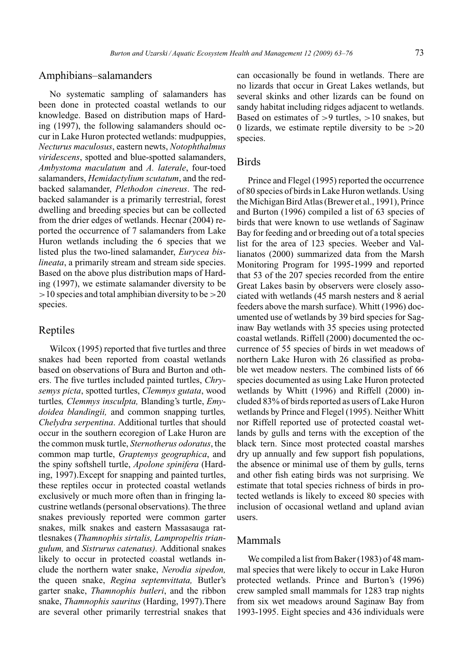#### Amphibians–salamanders

No systematic sampling of salamanders has been done in protected coastal wetlands to our knowledge. Based on distribution maps of Harding (1997), the following salamanders should occur in Lake Huron protected wetlands: mudpuppies, *Necturus maculosus*, eastern newts, *Notophthalmus viridescens*, spotted and blue-spotted salamanders, *Ambystoma maculatum* and *A. laterale*, four-toed salamanders, *Hemidactylium scutatum*, and the redbacked salamander, *Plethodon cinereus*. The redbacked salamander is a primarily terrestrial, forest dwelling and breeding species but can be collected from the drier edges of wetlands. Hecnar (2004) reported the occurrence of 7 salamanders from Lake Huron wetlands including the 6 species that we listed plus the two-lined salamander, *Eurycea bislineata*, a primarily stream and stream side species. Based on the above plus distribution maps of Harding (1997), we estimate salamander diversity to be  $>10$  species and total amphibian diversity to be  $>20$ species.

#### Reptiles

Wilcox (1995) reported that five turtles and three snakes had been reported from coastal wetlands based on observations of Bura and Burton and others. The five turtles included painted turtles, *Chrysemys picta*, spotted turtles, *Clemmys gutata*, wood turtles*, Clemmys insculpta,* Blanding's turtle, *Emydoidea blandingii,* and common snapping turtles*, Chelydra serpentina*. Additional turtles that should occur in the southern ecoregion of Lake Huron are the common musk turtle, *Sternotherus odoratus*, the common map turtle, *Graptemys geographica*, and the spiny softshell turtle, *Apolone spinifera* (Harding, 1997).Except for snapping and painted turtles, these reptiles occur in protected coastal wetlands exclusively or much more often than in fringing lacustrine wetlands (personal observations). The three snakes previously reported were common garter snakes, milk snakes and eastern Massasauga rattlesnakes (*Thamnophis sirtalis, Lampropeltis triangulum,* and *Sistrurus catenatus).* Additional snakes likely to occur in protected coastal wetlands include the northern water snake, *Nerodia sipedon,* the queen snake, *Regina septemvittata,* Butler's garter snake, *Thamnophis butleri*, and the ribbon snake, *Thamnophis sauritus* (Harding, 1997).There are several other primarily terrestrial snakes that can occasionally be found in wetlands. There are no lizards that occur in Great Lakes wetlands, but several skinks and other lizards can be found on sandy habitat including ridges adjacent to wetlands. Based on estimates of  $>9$  turtles,  $>10$  snakes, but 0 lizards, we estimate reptile diversity to be  $>20$ species.

#### Birds

Prince and Flegel (1995) reported the occurrence of 80 species of birds in Lake Huron wetlands. Using the Michigan Bird Atlas (Brewer et al., 1991), Prince and Burton (1996) compiled a list of 63 species of birds that were known to use wetlands of Saginaw Bay for feeding and or breeding out of a total species list for the area of 123 species. Weeber and Vallianatos (2000) summarized data from the Marsh Monitoring Program for 1995-1999 and reported that 53 of the 207 species recorded from the entire Great Lakes basin by observers were closely associated with wetlands (45 marsh nesters and 8 aerial feeders above the marsh surface). Whitt (1996) documented use of wetlands by 39 bird species for Saginaw Bay wetlands with 35 species using protected coastal wetlands. Riffell (2000) documented the occurrence of 55 species of birds in wet meadows of northern Lake Huron with 26 classified as probable wet meadow nesters. The combined lists of 66 species documented as using Lake Huron protected wetlands by Whitt (1996) and Riffell (2000) included 83% of birds reported as users of Lake Huron wetlands by Prince and Flegel (1995). Neither Whitt nor Riffell reported use of protected coastal wetlands by gulls and terns with the exception of the black tern. Since most protected coastal marshes dry up annually and few support fish populations, the absence or minimal use of them by gulls, terns and other fish eating birds was not surprising. We estimate that total species richness of birds in protected wetlands is likely to exceed 80 species with inclusion of occasional wetland and upland avian users.

#### Mammals

We compiled a list from Baker (1983) of 48 mammal species that were likely to occur in Lake Huron protected wetlands. Prince and Burton's (1996) crew sampled small mammals for 1283 trap nights from six wet meadows around Saginaw Bay from 1993-1995. Eight species and 436 individuals were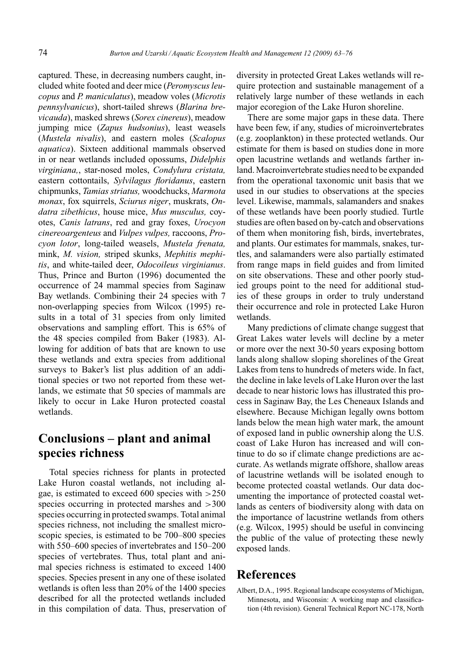captured. These, in decreasing numbers caught, included white footed and deer mice (*Peromyscus leucopus* and *P. maniculatus*), meadow voles (*Microtis pennsylvanicus*), short-tailed shrews (*Blarina brevicauda*), masked shrews (*Sorex cinereus*), meadow jumping mice (*Zapus hudsonius*), least weasels (*Mustela nivalis*), and eastern moles (*Scalopus aquatica*). Sixteen additional mammals observed in or near wetlands included opossums, *Didelphis virginiana,*, star-nosed moles, *Condylura cristata,* eastern cottontails, *Sylvilagus floridanus*, eastern chipmunks, *Tamias striatus,* woodchucks, *Marmota monax*, fox squirrels, *Sciurus niger*, muskrats, *Ondatra zibethicus*, house mice, *Mus musculus,* coyotes, *Canis latrans*, red and gray foxes, *Urocyon cinereoargenteus* and *Vulpes vulpes,* raccoons, *Procyon lotor*, long-tailed weasels, *Mustela frenata,* mink, *M. vision,* striped skunks, *Mephitis mephitis*, and white-tailed deer, *Odocoileus virginianus*. Thus, Prince and Burton (1996) documented the occurrence of 24 mammal species from Saginaw Bay wetlands. Combining their 24 species with 7 non-overlapping species from Wilcox (1995) results in a total of 31 species from only limited observations and sampling effort. This is 65% of the 48 species compiled from Baker (1983). Allowing for addition of bats that are known to use these wetlands and extra species from additional surveys to Baker's list plus addition of an additional species or two not reported from these wetlands, we estimate that 50 species of mammals are likely to occur in Lake Huron protected coastal wetlands.

## **Conclusions – plant and animal species richness**

Total species richness for plants in protected Lake Huron coastal wetlands, not including algae, is estimated to exceed 600 species with >250 species occurring in protected marshes and >300 species occurring in protected swamps. Total animal species richness, not including the smallest microscopic species, is estimated to be 700–800 species with 550–600 species of invertebrates and 150–200 species of vertebrates. Thus, total plant and animal species richness is estimated to exceed 1400 species. Species present in any one of these isolated wetlands is often less than 20% of the 1400 species described for all the protected wetlands included in this compilation of data. Thus, preservation of diversity in protected Great Lakes wetlands will require protection and sustainable management of a relatively large number of these wetlands in each major ecoregion of the Lake Huron shoreline.

There are some major gaps in these data. There have been few, if any, studies of microinvertebrates (e.g. zooplankton) in these protected wetlands. Our estimate for them is based on studies done in more open lacustrine wetlands and wetlands farther inland. Macroinvertebrate studies need to be expanded from the operational taxonomic unit basis that we used in our studies to observations at the species level. Likewise, mammals, salamanders and snakes of these wetlands have been poorly studied. Turtle studies are often based on by-catch and observations of them when monitoring fish, birds, invertebrates, and plants. Our estimates for mammals, snakes, turtles, and salamanders were also partially estimated from range maps in field guides and from limited on site observations. These and other poorly studied groups point to the need for additional studies of these groups in order to truly understand their occurrence and role in protected Lake Huron wetlands.

Many predictions of climate change suggest that Great Lakes water levels will decline by a meter or more over the next 30-50 years exposing bottom lands along shallow sloping shorelines of the Great Lakes from tens to hundreds of meters wide. In fact, the decline in lake levels of Lake Huron over the last decade to near historic lows has illustrated this process in Saginaw Bay, the Les Cheneaux Islands and elsewhere. Because Michigan legally owns bottom lands below the mean high water mark, the amount of exposed land in public ownership along the U.S. coast of Lake Huron has increased and will continue to do so if climate change predictions are accurate. As wetlands migrate offshore, shallow areas of lacustrine wetlands will be isolated enough to become protected coastal wetlands. Our data documenting the importance of protected coastal wetlands as centers of biodiversity along with data on the importance of lacustrine wetlands from others (e.g. Wilcox, 1995) should be useful in convincing the public of the value of protecting these newly exposed lands.

### **References**

Albert, D.A., 1995. Regional landscape ecosystems of Michigan, Minnesota, and Wisconsin: A working map and classification (4th revision). General Technical Report NC-178, North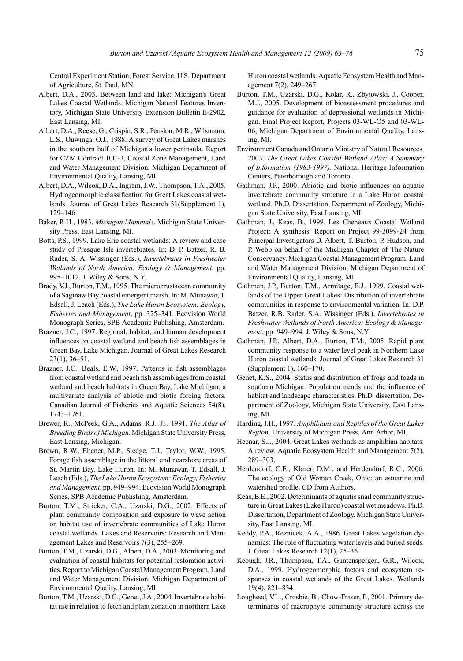Central Experiment Station, Forest Service, U.S. Department of Agriculture, St. Paul, MN.

- Albert, D.A., 2003. Between land and lake: Michigan's Great Lakes Coastal Wetlands. Michigan Natural Features Inventory, Michigan State University Extension Bulletin E-2902, East Lansing, MI.
- Albert, D.A., Reese, G., Crispin, S.R., Penskar, M.R., Wilsmann, L.S., Ouwinga, O.J., 1988. A survey of Great Lakes marshes in the southern half of Michigan's lower peninsula. Report for CZM Contract 10C-3, Coastal Zone Management, Land and Water Management Division, Michigan Department of Environmental Quality, Lansing, MI.
- Albert, D.A., Wilcox, D.A., Ingram, J.W., Thompson, T.A., 2005. Hydrogeomorphic classification for Great Lakes coastal wetlands. Journal of Great Lakes Research 31(Supplement 1), 129–146.
- Baker, R.H., 1983. *Michigan Mammals*. Michigan State University Press, East Lansing, MI.
- Botts, P.S., 1999. Lake Erie coastal wetlands: A review and case study of Presque Isle invertebrates. In: D. P. Batzer, R. B. Rader, S. A. Wissinger (Eds.), *Invertebrates in Freshwater Wetlands of North America: Ecology & Management*, pp. 995–1012. J. Wiley & Sons, N.Y.
- Brady, V.J., Burton, T.M., 1995. The microcrustacean community of a Saginaw Bay coastal emergent marsh. In: M. Munawar, T. Edsall, J. Leach (Eds.), *The Lake Huron Ecosystem: Ecology, Fisheries and Management*, pp. 325–341. Ecovision World Monograph Series, SPB Academic Publishing, Amsterdam.
- Brazner, J.C., 1997. Regional, habitat, and human development influences on coastal wetland and beach fish assemblages in Green Bay, Lake Michigan. Journal of Great Lakes Research 23(1), 36–51.
- Brazner, J.C., Beals, E.W., 1997. Patterns in fish assemblages from coastal wetland and beach fish assemblages from coastal wetland and beach habitats in Green Bay, Lake Michigan: a multivariate analysis of abiotic and biotic forcing factors. Canadian Journal of Fisheries and Aquatic Sciences 54(8), 1743–1761.
- Brewer, R., McPeek, G.A., Adams, R.J., Jr., 1991. *The Atlas of Breeding Birds of Michigan*. Michigan State University Press, East Lansing, Michigan.
- Brown, R.W., Ebener, M.P., Sledge, T.J., Taylor, W.W., 1995. Forage fish assemblage in the littoral and nearshore areas of St. Martin Bay, Lake Huron. In: M. Munawar, T. Edsall, J. Leach (Eds.), *The Lake Huron Ecosystem: Ecology, Fisheries and Management*, pp. 949–994. Ecovision World Monograph Series, SPB Academic Publishing, Amsterdam.
- Burton, T.M., Stricker, C.A., Uzarski, D.G., 2002. Effects of plant community composition and exposure to wave action on habitat use of invertebrate communities of Lake Huron coastal wetlands. Lakes and Reservoirs: Research and Management Lakes and Reservoirs 7(3), 255–269.
- Burton, T.M., Uzarski, D.G., Albert, D.A., 2003. Monitoring and evaluation of coastal habitats for potential restoration activities. Report to Michigan Coastal Management Program, Land and Water Management Division, Michigan Department of Environmental Quality, Lansing, MI.
- Burton, T.M., Uzarski, D.G., Genet, J.A., 2004. Invertebrate habitat use in relation to fetch and plant zonation in northern Lake

Huron coastal wetlands. Aquatic Ecosystem Health and Management 7(2), 249–267.

- Burton, T.M., Uzarski, D.G., Kolar, R., Zbytowski, J., Cooper, M.J., 2005. Development of bioassessment procedures and guidance for evaluation of depressional wetlands in Michigan. Final Project Report, Projects 03-WL-O5 and 03-WL-06, Michigan Department of Environmental Quality, Lansing, MI.
- Environment Canada and Ontario Ministry of Natural Resources. 2003. *The Great Lakes Coastal Wetland Atlas: A Summary of Information (1983-1997).* National Heritage Information Centers, Peterborough and Toronto.
- Gathman, J.P., 2000. Abiotic and biotic influences on aquatic invertebrate community structure in a Lake Huron coastal wetland. Ph.D. Dissertation, Department of Zoology, Michigan State University, East Lansing, MI.
- Gathman, J., Keas, B., 1999. Les Cheneaux Coastal Wetland Project: A synthesis. Report on Project 99-3099-24 from Principal Investigators D. Albert, T. Burton, P. Hudson, and P. Webb on behalf of the Michigan Chapter of The Nature Conservancy. Michigan Coastal Management Program. Land and Water Management Division, Michigan Department of Environmental Quality, Lansing, MI.
- Gathman, J.P., Burton, T.M., Armitage, B.J., 1999. Coastal wetlands of the Upper Great Lakes: Distribution of invertebrate communities in response to environmental variation. In: D.P. Batzer, R.B. Rader, S.A. Wissinger (Eds.), *Invertebrates in Freshwater Wetlands of North America: Ecology & Management*, pp. 949–994. J. Wiley & Sons, N.Y.
- Gathman, J.P., Albert, D.A., Burton, T.M., 2005. Rapid plant community response to a water level peak in Northern Lake Huron coastal wetlands. Journal of Great Lakes Research 31 (Supplement 1), 160–170.
- Genet, K.S., 2004. Status and distribution of frogs and toads in southern Michigan: Population trends and the influence of habitat and landscape characteristics. Ph.D. dissertation. Department of Zoology, Michigan State University, East Lansing, MI.
- Harding, J.H., 1997. *Amphibians and Reptiles of the Great Lakes Region*. University of Michigan Press, Ann Arbor, MI.
- Hecnar, S.J., 2004. Great Lakes wetlands as amphibian habitats: A review. Aquatic Ecosystem Health and Management 7(2), 289–303.
- Herdendorf, C.E., Klarer, D.M., and Herdendorf, R.C., 2006. The ecology of Old Woman Creek, Ohio: an estuarine and watershed profile. CD from Authors.
- Keas, B.E., 2002. Determinants of aquatic snail community structure in Great Lakes (Lake Huron) coastal wet meadows. Ph.D. Dissertation, Department of Zoology, Michigan State University, East Lansing, MI.
- Keddy, P.A., Reznicek, A.A., 1986. Great Lakes vegetation dynamics: The role of fluctuating water levels and buried seeds. J. Great Lakes Research 12(1), 25–36.
- Keough, J.R., Thompson, T.A., Guntenspergen, G.R., Wilcox, D.A., 1999. Hydrogeomorphic factors and ecosystem responses in coastal wetlands of the Great Lakes. Wetlands 19(4), 821–834.
- Lougheed, V.L., Crosbie, B., Chow-Fraser, P., 2001. Primary determinants of macrophyte community structure across the